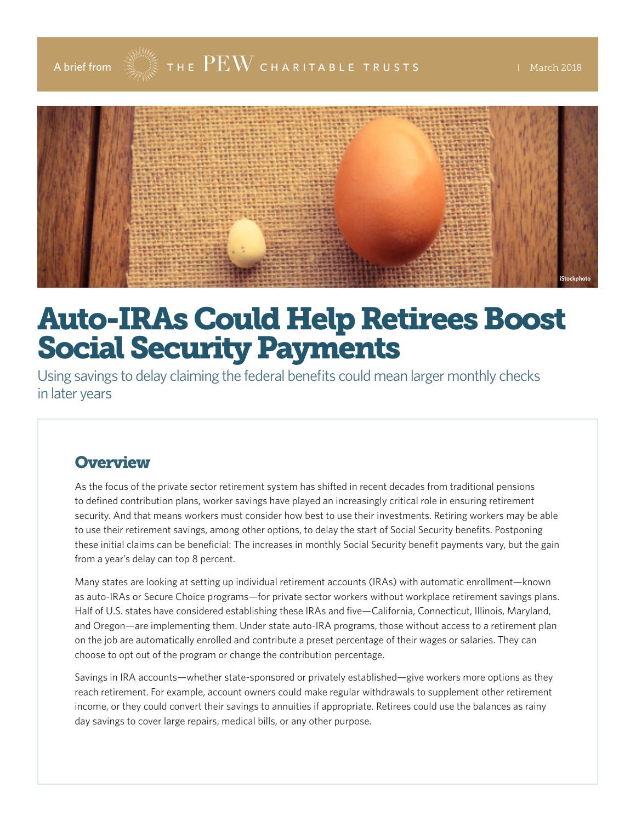

# Auto-IRAs Could Help Retirees Boost Social Security Payments

Using savings to delay claiming the federal benefits could mean larger monthly checks in later years

#### **Overview**

As the focus of the private sector retirement system has shifted in recent decades from traditional pensions to defined contribution plans, worker savings have played an increasingly critical role in ensuring retirement security. And that means workers must consider how best to use their investments. Retiring workers may be able to use their retirement savings, among other options, to delay the start of Social Security benefits. Postponing these initial claims can be beneficial: The increases in monthly Social Security benefit payments vary, but the gain from a year's delay can top 8 percent.

Many states are looking at setting up individual retirement accounts (IRAs) with automatic enrollment—known as auto-IRAs or Secure Choice programs—for private sector workers without workplace retirement savings plans. Half of U.S. states have considered establishing these IRAs and five—California, Connecticut, Illinois, Maryland, and Oregon—are implementing them. Under state auto-IRA programs, those without access to a retirement plan on the job are automatically enrolled and contribute a preset percentage of their wages or salaries. They can choose to opt out of the program or change the contribution percentage.

Savings in IRA accounts—whether state-sponsored or privately established—give workers more options as they reach retirement. For example, account owners could make regular withdrawals to supplement other retirement income, or they could convert their savings to annuities if appropriate. Retirees could use the balances as rainy day savings to cover large repairs, medical bills, or any other purpose.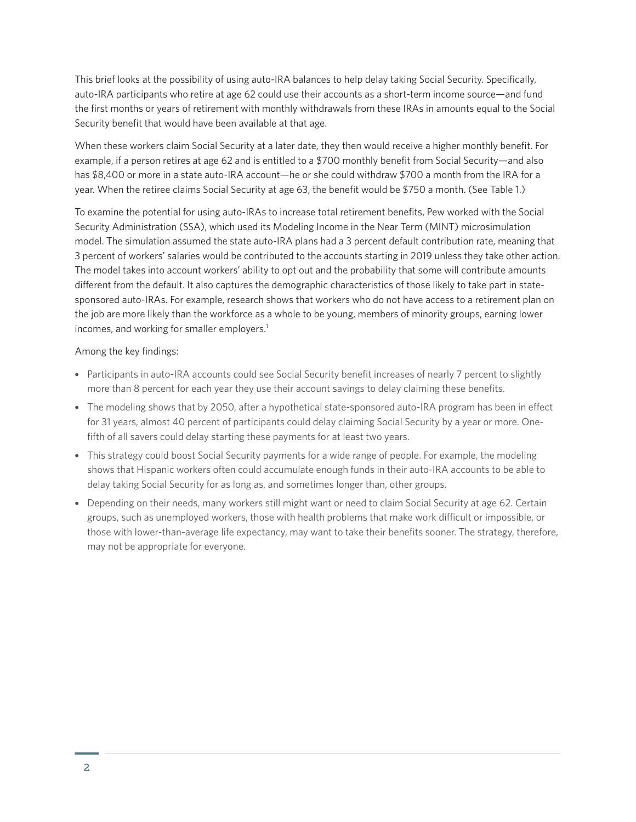This brief looks at the possibility of using auto-IRA balances to help delay taking Social Security. Specifically, auto-IRA participants who retire at age 62 could use their accounts as a short-term income source—and fund the first months or years of retirement with monthly withdrawals from these IRAs in amounts equal to the Social Security benefit that would have been available at that age.

When these workers claim Social Security at a later date, they then would receive a higher monthly benefit. For example, if a person retires at age 62 and is entitled to a \$700 monthly benefit from Social Security—and also has \$8,400 or more in a state auto-IRA account—he or she could withdraw \$700 a month from the IRA for a year. When the retiree claims Social Security at age 63, the benefit would be \$750 a month. (See Table 1.)

To examine the potential for using auto-IRAs to increase total retirement benefits, Pew worked with the Social Security Administration (SSA), which used its Modeling Income in the Near Term (MINT) microsimulation model. The simulation assumed the state auto-IRA plans had a 3 percent default contribution rate, meaning that 3 percent of workers' salaries would be contributed to the accounts starting in 2019 unless they take other action. The model takes into account workers' ability to opt out and the probability that some will contribute amounts different from the default. It also captures the demographic characteristics of those likely to take part in statesponsored auto-IRAs. For example, research shows that workers who do not have access to a retirement plan on the job are more likely than the workforce as a whole to be young, members of minority groups, earning lower incomes, and working for smaller employers.<sup>1</sup>

Among the key findings:

- Participants in auto-IRA accounts could see Social Security benefit increases of nearly 7 percent to slightly more than 8 percent for each year they use their account savings to delay claiming these benefits.
- The modeling shows that by 2050, after a hypothetical state-sponsored auto-IRA program has been in effect for 31 years, almost 40 percent of participants could delay claiming Social Security by a year or more. Onefifth of all savers could delay starting these payments for at least two years.
- This strategy could boost Social Security payments for a wide range of people. For example, the modeling shows that Hispanic workers often could accumulate enough funds in their auto-IRA accounts to be able to delay taking Social Security for as long as, and sometimes longer than, other groups.
- Depending on their needs, many workers still might want or need to claim Social Security at age 62. Certain groups, such as unemployed workers, those with health problems that make work difficult or impossible, or those with lower-than-average life expectancy, may want to take their benefits sooner. The strategy, therefore, may not be appropriate for everyone.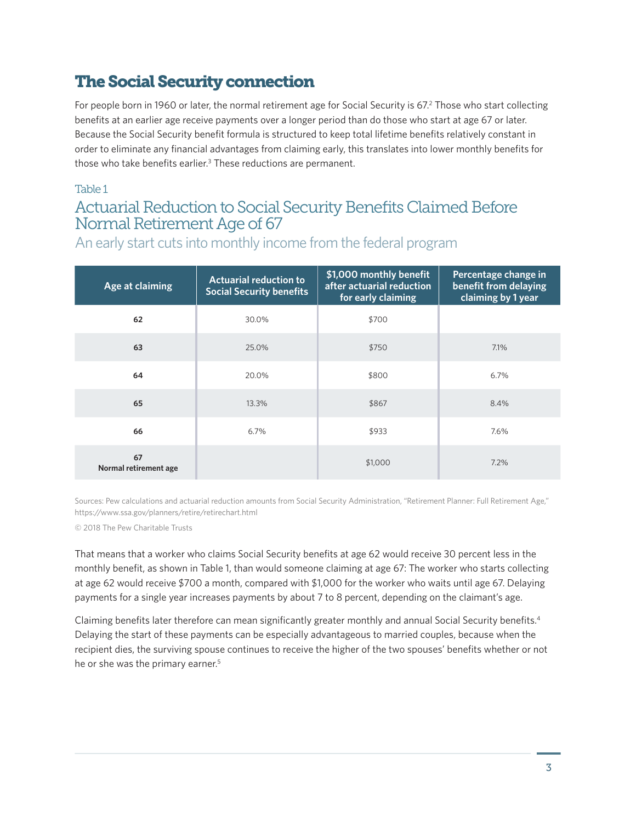# The Social Security connection

For people born in 1960 or later, the normal retirement age for Social Security is 67.<sup>2</sup> Those who start collecting benefits at an earlier age receive payments over a longer period than do those who start at age 67 or later. Because the Social Security benefit formula is structured to keep total lifetime benefits relatively constant in order to eliminate any financial advantages from claiming early, this translates into lower monthly benefits for those who take benefits earlier.<sup>3</sup> These reductions are permanent.

#### Table 1

### Actuarial Reduction to Social Security Benefits Claimed Before Normal Retirement Age of 67

An early start cuts into monthly income from the federal program

| Age at claiming             | <b>Actuarial reduction to</b><br><b>Social Security benefits</b> | \$1,000 monthly benefit<br>after actuarial reduction<br>for early claiming | Percentage change in<br>benefit from delaying<br>claiming by 1 year |
|-----------------------------|------------------------------------------------------------------|----------------------------------------------------------------------------|---------------------------------------------------------------------|
| 62                          | 30.0%                                                            | \$700                                                                      |                                                                     |
| 63                          | 25.0%                                                            | \$750                                                                      | 7.1%                                                                |
| 64                          | 20.0%                                                            | \$800                                                                      | 6.7%                                                                |
| 65                          | 13.3%                                                            | \$867                                                                      | 8.4%                                                                |
| 66                          | 6.7%                                                             | \$933                                                                      | 7.6%                                                                |
| 67<br>Normal retirement age |                                                                  | \$1,000                                                                    | 7.2%                                                                |

Sources: Pew calculations and actuarial reduction amounts from Social Security Administration, "Retirement Planner: Full Retirement Age," https://www.ssa.gov/planners/retire/retirechart.html

© 2018 The Pew Charitable Trusts

That means that a worker who claims Social Security benefits at age 62 would receive 30 percent less in the monthly benefit, as shown in Table 1, than would someone claiming at age 67: The worker who starts collecting at age 62 would receive \$700 a month, compared with \$1,000 for the worker who waits until age 67. Delaying payments for a single year increases payments by about 7 to 8 percent, depending on the claimant's age.

Claiming benefits later therefore can mean significantly greater monthly and annual Social Security benefits.4 Delaying the start of these payments can be especially advantageous to married couples, because when the recipient dies, the surviving spouse continues to receive the higher of the two spouses' benefits whether or not he or she was the primary earner.<sup>5</sup>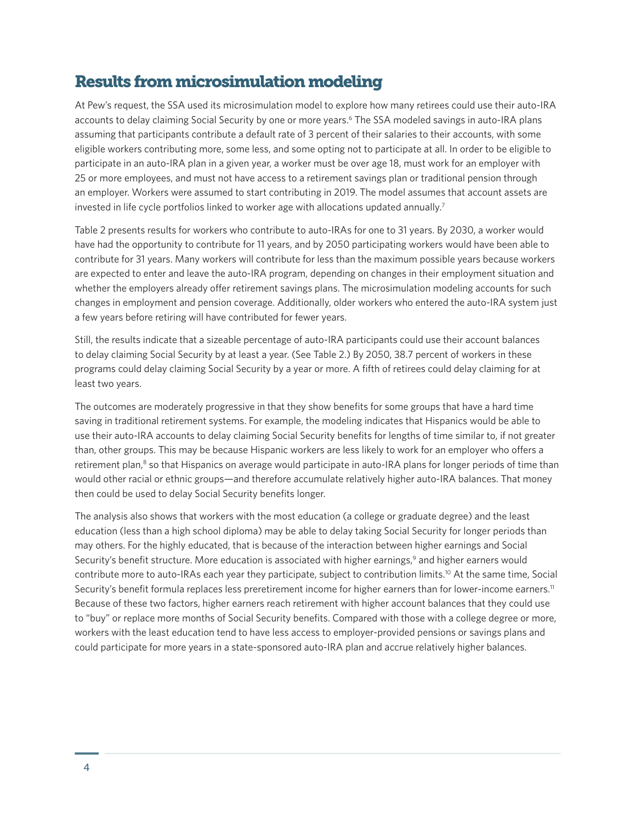#### Results from microsimulation modeling

At Pew's request, the SSA used its microsimulation model to explore how many retirees could use their auto-IRA accounts to delay claiming Social Security by one or more years.<sup>6</sup> The SSA modeled savings in auto-IRA plans assuming that participants contribute a default rate of 3 percent of their salaries to their accounts, with some eligible workers contributing more, some less, and some opting not to participate at all. In order to be eligible to participate in an auto-IRA plan in a given year, a worker must be over age 18, must work for an employer with 25 or more employees, and must not have access to a retirement savings plan or traditional pension through an employer. Workers were assumed to start contributing in 2019. The model assumes that account assets are invested in life cycle portfolios linked to worker age with allocations updated annually.<sup>7</sup>

Table 2 presents results for workers who contribute to auto-IRAs for one to 31 years. By 2030, a worker would have had the opportunity to contribute for 11 years, and by 2050 participating workers would have been able to contribute for 31 years. Many workers will contribute for less than the maximum possible years because workers are expected to enter and leave the auto-IRA program, depending on changes in their employment situation and whether the employers already offer retirement savings plans. The microsimulation modeling accounts for such changes in employment and pension coverage. Additionally, older workers who entered the auto-IRA system just a few years before retiring will have contributed for fewer years.

Still, the results indicate that a sizeable percentage of auto-IRA participants could use their account balances to delay claiming Social Security by at least a year. (See Table 2.) By 2050, 38.7 percent of workers in these programs could delay claiming Social Security by a year or more. A fifth of retirees could delay claiming for at least two years.

The outcomes are moderately progressive in that they show benefits for some groups that have a hard time saving in traditional retirement systems. For example, the modeling indicates that Hispanics would be able to use their auto-IRA accounts to delay claiming Social Security benefits for lengths of time similar to, if not greater than, other groups. This may be because Hispanic workers are less likely to work for an employer who offers a retirement plan,<sup>8</sup> so that Hispanics on average would participate in auto-IRA plans for longer periods of time than would other racial or ethnic groups—and therefore accumulate relatively higher auto-IRA balances. That money then could be used to delay Social Security benefits longer.

The analysis also shows that workers with the most education (a college or graduate degree) and the least education (less than a high school diploma) may be able to delay taking Social Security for longer periods than may others. For the highly educated, that is because of the interaction between higher earnings and Social Security's benefit structure. More education is associated with higher earnings,<sup>9</sup> and higher earners would contribute more to auto-IRAs each year they participate, subject to contribution limits.<sup>10</sup> At the same time, Social Security's benefit formula replaces less preretirement income for higher earners than for lower-income earners.<sup>11</sup> Because of these two factors, higher earners reach retirement with higher account balances that they could use to "buy" or replace more months of Social Security benefits. Compared with those with a college degree or more, workers with the least education tend to have less access to employer-provided pensions or savings plans and could participate for more years in a state-sponsored auto-IRA plan and accrue relatively higher balances.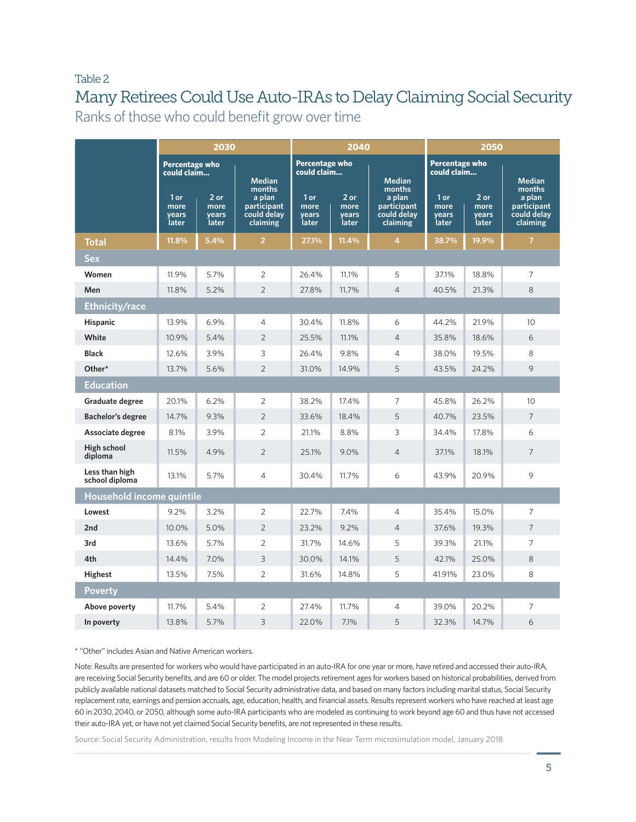#### Table 2

# Many Retirees Could Use Auto-IRAs to Delay Claiming Social Security

Ranks of those who could benefit grow over time

|                                  | 2030                                 |                                | 2040                                             |                                      | 2050                           |                                                  |                                |                                  |                                                  |
|----------------------------------|--------------------------------------|--------------------------------|--------------------------------------------------|--------------------------------------|--------------------------------|--------------------------------------------------|--------------------------------|----------------------------------|--------------------------------------------------|
|                                  | <b>Percentage who</b><br>could claim |                                | <b>Median</b><br>months                          | <b>Percentage who</b><br>could claim |                                | <b>Median</b><br>months                          | Percentage who<br>could claim  |                                  | <b>Median</b><br>months                          |
|                                  | 1 or<br>more<br>years<br>later       | 2 or<br>more<br>years<br>later | a plan<br>participant<br>could delay<br>claiming | 1 or<br>more<br>years<br>later       | 2 or<br>more<br>years<br>later | a plan<br>participant<br>could delay<br>claiming | 1 or<br>more<br>years<br>later | $2$ or<br>more<br>years<br>later | a plan<br>participant<br>could delay<br>claiming |
| Total                            | 11.8%                                | 5.4%                           | $\overline{2}$                                   | 27.1%                                | 11.4%                          | $\overline{4}$                                   | 38.7%                          | 19.9%                            | $\overline{7}$                                   |
| Sex                              |                                      |                                |                                                  |                                      |                                |                                                  |                                |                                  |                                                  |
| Women                            | 11.9%                                | 5.7%                           | $\overline{2}$                                   | 26.4%                                | 11.1%                          | 5                                                | 37.1%                          | 18.8%                            | $\overline{7}$                                   |
| Men                              | 11.8%                                | 5.2%                           | $\overline{2}$                                   | 27.8%                                | 11.7%                          | $\overline{4}$                                   | 40.5%                          | 21.3%                            | 8                                                |
| <b>Ethnicity/race</b>            |                                      |                                |                                                  |                                      |                                |                                                  |                                |                                  |                                                  |
| <b>Hispanic</b>                  | 13.9%                                | 6.9%                           | $\overline{4}$                                   | 30.4%                                | 11.8%                          | 6                                                | 44.2%                          | 21.9%                            | 10                                               |
| White                            | 10.9%                                | 5.4%                           | $\overline{2}$                                   | 25.5%                                | 11.1%                          | $\overline{4}$                                   | 35.8%                          | 18.6%                            | 6                                                |
| <b>Black</b>                     | 12.6%                                | 3.9%                           | 3                                                | 26.4%                                | 9.8%                           | $\overline{4}$                                   | 38.0%                          | 19.5%                            | 8                                                |
| Other*                           | 13.7%                                | 5.6%                           | $\overline{2}$                                   | 31.0%                                | 14.9%                          | 5                                                | 43.5%                          | 24.2%                            | 9                                                |
| <b>Education</b>                 |                                      |                                |                                                  |                                      |                                |                                                  |                                |                                  |                                                  |
| Graduate degree                  | 20.1%                                | 6.2%                           | $\overline{2}$                                   | 38.2%                                | 17.4%                          | $\overline{7}$                                   | 45.8%                          | 26.2%                            | 10                                               |
| <b>Bachelor's degree</b>         | 14.7%                                | 9.3%                           | $\overline{2}$                                   | 33.6%                                | 18.4%                          | 5                                                | 40.7%                          | 23.5%                            | 7                                                |
| Associate degree                 | 8.1%                                 | 3.9%                           | $\overline{2}$                                   | 21.1%                                | 8.8%                           | 3                                                | 34.4%                          | 17.8%                            | 6                                                |
| High school<br>diploma           | 11.5%                                | 4.9%                           | $\overline{2}$                                   | 25.1%                                | 9.0%                           | $\overline{4}$                                   | 37.1%                          | 18.1%                            | $\overline{7}$                                   |
| Less than high<br>school diploma | 13.1%                                | 5.7%                           | $\overline{4}$                                   | 30.4%                                | 11.7%                          | 6                                                | 43.9%                          | 20.9%                            | 9                                                |
|                                  | Household income quintile            |                                |                                                  |                                      |                                |                                                  |                                |                                  |                                                  |
| Lowest                           | 9.2%                                 | 3.2%                           | $\overline{2}$                                   | 22.7%                                | 7.4%                           | $\overline{4}$                                   | 35.4%                          | 15.0%                            | $\overline{7}$                                   |
| 2nd                              | 10.0%                                | 5.0%                           | $\overline{2}$                                   | 23.2%                                | 9.2%                           | $\overline{4}$                                   | 37.6%                          | 19.3%                            | 7                                                |
| 3rd                              | 13.6%                                | 5.7%                           | 2                                                | 31.7%                                | 14.6%                          | 5                                                | 39.3%                          | 21.1%                            | $\overline{7}$                                   |
| 4th                              | 14.4%                                | 7.0%                           | 3                                                | 30.0%                                | 14.1%                          | 5                                                | 42.1%                          | 25.0%                            | 8                                                |
| <b>Highest</b>                   | 13.5%                                | 7.5%                           | $\overline{2}$                                   | 31.6%                                | 14.8%                          | 5                                                | 41.91%                         | 23.0%                            | 8                                                |
| <b>Poverty</b>                   |                                      |                                |                                                  |                                      |                                |                                                  |                                |                                  |                                                  |
| Above poverty                    | 11.7%                                | 5.4%                           | 2                                                | 27.4%                                | 11.7%                          | $\overline{4}$                                   | 39.0%                          | 20.2%                            | 7                                                |
| In poverty                       | 13.8%                                | 5.7%                           | 3                                                | 22.0%                                | 7.1%                           | 5                                                | 32.3%                          | 14.7%                            | 6                                                |

\* "Other" includes Asian and Native American workers.

Note: Results are presented for workers who would have participated in an auto-IRA for one year or more, have retired and accessed their auto-IRA, are receiving Social Security benefits, and are 60 or older. The model projects retirement ages for workers based on historical probabilities, derived from publicly available national datasets matched to Social Security administrative data, and based on many factors including marital status, Social Security replacement rate, earnings and pension accruals, age, education, health, and financial assets. Results represent workers who have reached at least age 60 in 2030, 2040, or 2050, although some auto-IRA participants who are modeled as continuing to work beyond age 60 and thus have not accessed their auto-IRA yet, or have not yet claimed Social Security benefits, are not represented in these results.

Source: Social Security Administration, results from Modeling Income in the Near Term microsimulation model, January 2018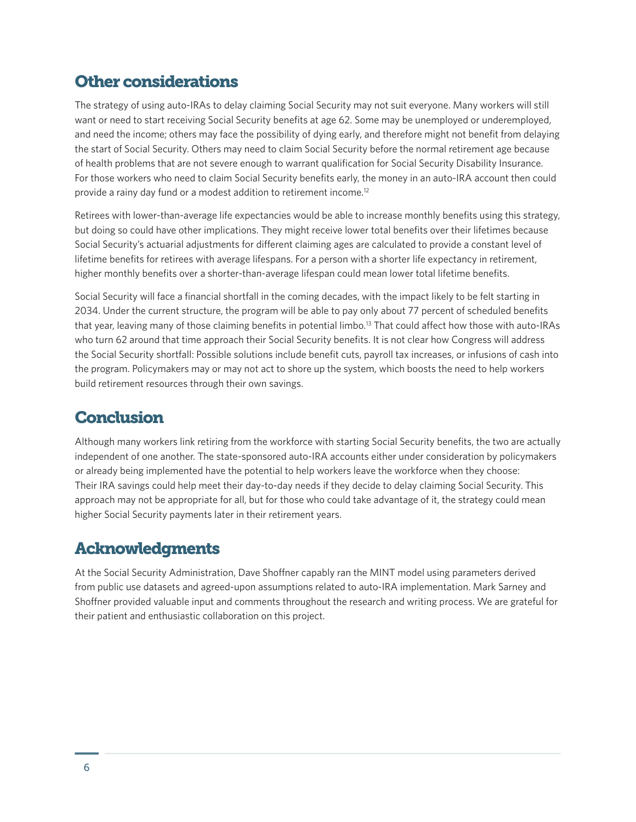# Other considerations

The strategy of using auto-IRAs to delay claiming Social Security may not suit everyone. Many workers will still want or need to start receiving Social Security benefits at age 62. Some may be unemployed or underemployed, and need the income; others may face the possibility of dying early, and therefore might not benefit from delaying the start of Social Security. Others may need to claim Social Security before the normal retirement age because of health problems that are not severe enough to warrant qualification for Social Security Disability Insurance. For those workers who need to claim Social Security benefits early, the money in an auto-IRA account then could provide a rainy day fund or a modest addition to retirement income.12

Retirees with lower-than-average life expectancies would be able to increase monthly benefits using this strategy, but doing so could have other implications. They might receive lower total benefits over their lifetimes because Social Security's actuarial adjustments for different claiming ages are calculated to provide a constant level of lifetime benefits for retirees with average lifespans. For a person with a shorter life expectancy in retirement, higher monthly benefits over a shorter-than-average lifespan could mean lower total lifetime benefits.

Social Security will face a financial shortfall in the coming decades, with the impact likely to be felt starting in 2034. Under the current structure, the program will be able to pay only about 77 percent of scheduled benefits that year, leaving many of those claiming benefits in potential limbo.13 That could affect how those with auto-IRAs who turn 62 around that time approach their Social Security benefits. It is not clear how Congress will address the Social Security shortfall: Possible solutions include benefit cuts, payroll tax increases, or infusions of cash into the program. Policymakers may or may not act to shore up the system, which boosts the need to help workers build retirement resources through their own savings.

## **Conclusion**

Although many workers link retiring from the workforce with starting Social Security benefits, the two are actually independent of one another. The state-sponsored auto-IRA accounts either under consideration by policymakers or already being implemented have the potential to help workers leave the workforce when they choose: Their IRA savings could help meet their day-to-day needs if they decide to delay claiming Social Security. This approach may not be appropriate for all, but for those who could take advantage of it, the strategy could mean higher Social Security payments later in their retirement years.

# Acknowledgments

At the Social Security Administration, Dave Shoffner capably ran the MINT model using parameters derived from public use datasets and agreed-upon assumptions related to auto-IRA implementation. Mark Sarney and Shoffner provided valuable input and comments throughout the research and writing process. We are grateful for their patient and enthusiastic collaboration on this project.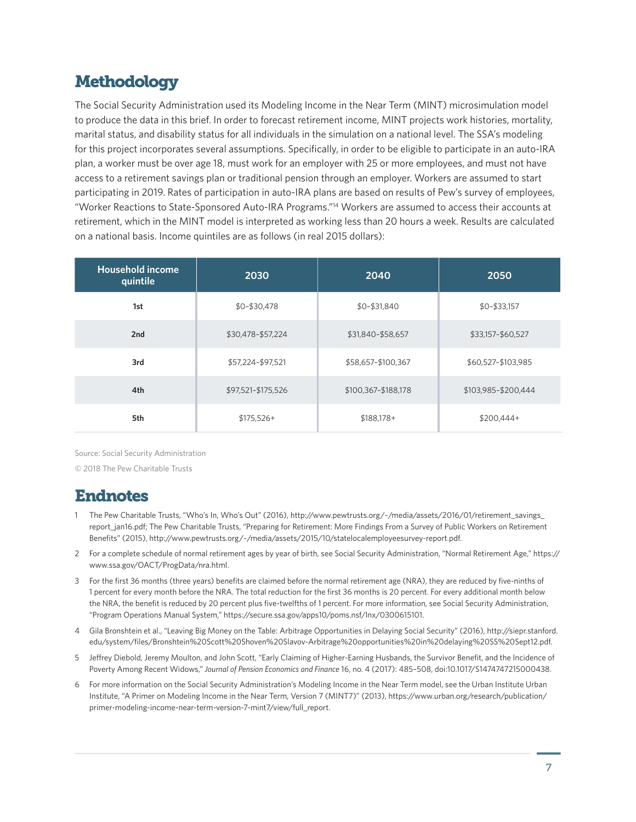# **Methodology**

The Social Security Administration used its Modeling Income in the Near Term (MINT) microsimulation model to produce the data in this brief. In order to forecast retirement income, MINT projects work histories, mortality, marital status, and disability status for all individuals in the simulation on a national level. The SSA's modeling for this project incorporates several assumptions. Specifically, in order to be eligible to participate in an auto-IRA plan, a worker must be over age 18, must work for an employer with 25 or more employees, and must not have access to a retirement savings plan or traditional pension through an employer. Workers are assumed to start participating in 2019. Rates of participation in auto-IRA plans are based on results of Pew's survey of employees, "Worker Reactions to State-Sponsored Auto-IRA Programs."14 Workers are assumed to access their accounts at retirement, which in the MINT model is interpreted as working less than 20 hours a week. Results are calculated on a national basis. Income quintiles are as follows (in real 2015 dollars):

| <b>Household income</b><br>quintile | 2030               | 2040                | 2050                |
|-------------------------------------|--------------------|---------------------|---------------------|
| 1st                                 | \$0-\$30,478       | \$0-\$31,840        | $$0-$33,157$        |
| 2nd                                 | \$30,478-\$57,224  | \$31,840-\$58,657   | \$33,157-\$60,527   |
| 3rd                                 | \$57,224-\$97,521  | \$58,657-\$100,367  | \$60,527-\$103,985  |
| 4th                                 | \$97,521-\$175,526 | \$100,367-\$188,178 | \$103,985-\$200,444 |
| 5th                                 | $$175,526+$        | $$188,178+$         | $$200,444+$         |

Source: Social Security Administration

© 2018 The Pew Charitable Trusts

#### Endnotes

- The Pew Charitable Trusts, "Who's In, Who's Out" (2016), [http://www.pewtrusts.org/~/media/assets/2016/01/retirement\\_savings\\_](http://www.pewtrusts.org/~/media/assets/2016/01/retirement_savings_report_jan16.pdf) [report\\_jan16.pdf](http://www.pewtrusts.org/~/media/assets/2016/01/retirement_savings_report_jan16.pdf); The Pew Charitable Trusts, "Preparing for Retirement: More Findings From a Survey of Public Workers on Retirement Benefits" (2015), <http://www.pewtrusts.org/~/media/assets/2015/10/statelocalemployeesurvey-report.pdf>.
- 2 For a complete schedule of normal retirement ages by year of birth, see Social Security Administration, "Normal Retirement Age," [https://](https://www.ssa.gov/OACT/ProgData/nra.html) [www.ssa.gov/OACT/ProgData/nra.html.](https://www.ssa.gov/OACT/ProgData/nra.html)
- 3 For the first 36 months (three years) benefits are claimed before the normal retirement age (NRA), they are reduced by five-ninths of 1 percent for every month before the NRA. The total reduction for the first 36 months is 20 percent. For every additional month below the NRA, the benefit is reduced by 20 percent plus five-twelfths of 1 percent. For more information, see Social Security Administration, "Program Operations Manual System," [https://secure.ssa.gov/apps10/poms.nsf/lnx/0300615101.](https://secure.ssa.gov/apps10/poms.nsf/lnx/0300615101)
- 4 Gila Bronshtein et al., "Leaving Big Money on the Table: Arbitrage Opportunities in Delaying Social Security" (2016), [http://siepr.stanford.](http://siepr.stanford.edu/system/files/Bronshtein%20Scott%20Shoven%20Slavov-Arbitrage%20opportunities%20in%20delaying%20SS%20Sept12.pdf) [edu/system/files/Bronshtein%20Scott%20Shoven%20Slavov-Arbitrage%20opportunities%20in%20delaying%20SS%20Sept12.pdf](http://siepr.stanford.edu/system/files/Bronshtein%20Scott%20Shoven%20Slavov-Arbitrage%20opportunities%20in%20delaying%20SS%20Sept12.pdf).
- 5 Jeffrey Diebold, Jeremy Moulton, and John Scott, "Early Claiming of Higher-Earning Husbands, the Survivor Benefit, and the Incidence of Poverty Among Recent Widows," *Journal of Pension Economics and Finance* 16, no. 4 (2017): 485–508, doi:10.1017/S1474747215000438.
- 6 For more information on the Social Security Administration's Modeling Income in the Near Term model, see the Urban Institute Urban Institute, "A Primer on Modeling Income in the Near Term, Version 7 (MINT7)" (2013), [https://www.urban.org/research/publication/](https://www.urban.org/research/publication/primer-modeling-income-near-term-version-7-mint7/view/full_report) [primer-modeling-income-near-term-version-7-mint7/view/full\\_report](https://www.urban.org/research/publication/primer-modeling-income-near-term-version-7-mint7/view/full_report).